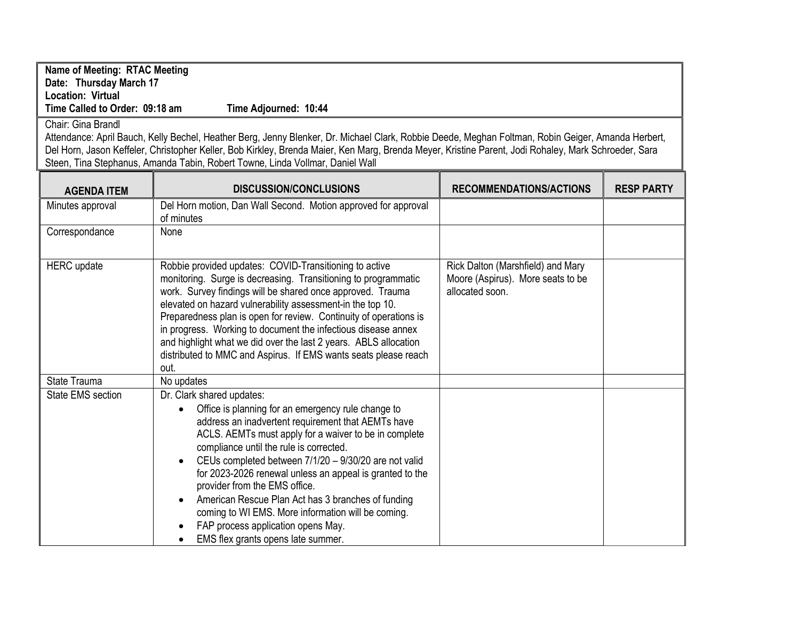## Name of Meeting: RTAC Meeting Date: Thursday March 17 Location: Virtual Time Called to Order: 09:18 am Time Adjourned: 10:44

## Chair: Gina Brandl

Attendance: April Bauch, Kelly Bechel, Heather Berg, Jenny Blenker, Dr. Michael Clark, Robbie Deede, Meghan Foltman, Robin Geiger, Amanda Herbert, Del Horn, Jason Keffeler, Christopher Keller, Bob Kirkley, Brenda Maier, Ken Marg, Brenda Meyer, Kristine Parent, Jodi Rohaley, Mark Schroeder, Sara Steen, Tina Stephanus, Amanda Tabin, Robert Towne, Linda Vollmar, Daniel Wall

| <b>AGENDA ITEM</b> | <b>DISCUSSION/CONCLUSIONS</b>                                                                                                                                                                                                                                                                                                                                                                                                                                                                                                                                                                                                  | <b>RECOMMENDATIONS/ACTIONS</b>                                                            | <b>RESP PARTY</b> |
|--------------------|--------------------------------------------------------------------------------------------------------------------------------------------------------------------------------------------------------------------------------------------------------------------------------------------------------------------------------------------------------------------------------------------------------------------------------------------------------------------------------------------------------------------------------------------------------------------------------------------------------------------------------|-------------------------------------------------------------------------------------------|-------------------|
| Minutes approval   | Del Horn motion, Dan Wall Second. Motion approved for approval<br>of minutes                                                                                                                                                                                                                                                                                                                                                                                                                                                                                                                                                   |                                                                                           |                   |
| Correspondance     | None                                                                                                                                                                                                                                                                                                                                                                                                                                                                                                                                                                                                                           |                                                                                           |                   |
| <b>HERC</b> update | Robbie provided updates: COVID-Transitioning to active<br>monitoring. Surge is decreasing. Transitioning to programmatic<br>work. Survey findings will be shared once approved. Trauma<br>elevated on hazard vulnerability assessment-in the top 10.<br>Preparedness plan is open for review. Continuity of operations is<br>in progress. Working to document the infectious disease annex<br>and highlight what we did over the last 2 years. ABLS allocation<br>distributed to MMC and Aspirus. If EMS wants seats please reach<br>out.                                                                                      | Rick Dalton (Marshfield) and Mary<br>Moore (Aspirus). More seats to be<br>allocated soon. |                   |
| State Trauma       | No updates                                                                                                                                                                                                                                                                                                                                                                                                                                                                                                                                                                                                                     |                                                                                           |                   |
| State EMS section  | Dr. Clark shared updates:<br>Office is planning for an emergency rule change to<br>$\bullet$<br>address an inadvertent requirement that AEMTs have<br>ACLS. AEMTs must apply for a waiver to be in complete<br>compliance until the rule is corrected.<br>CEUs completed between 7/1/20 - 9/30/20 are not valid<br>$\bullet$<br>for 2023-2026 renewal unless an appeal is granted to the<br>provider from the EMS office.<br>American Rescue Plan Act has 3 branches of funding<br>$\bullet$<br>coming to WI EMS. More information will be coming.<br>FAP process application opens May.<br>EMS flex grants opens late summer. |                                                                                           |                   |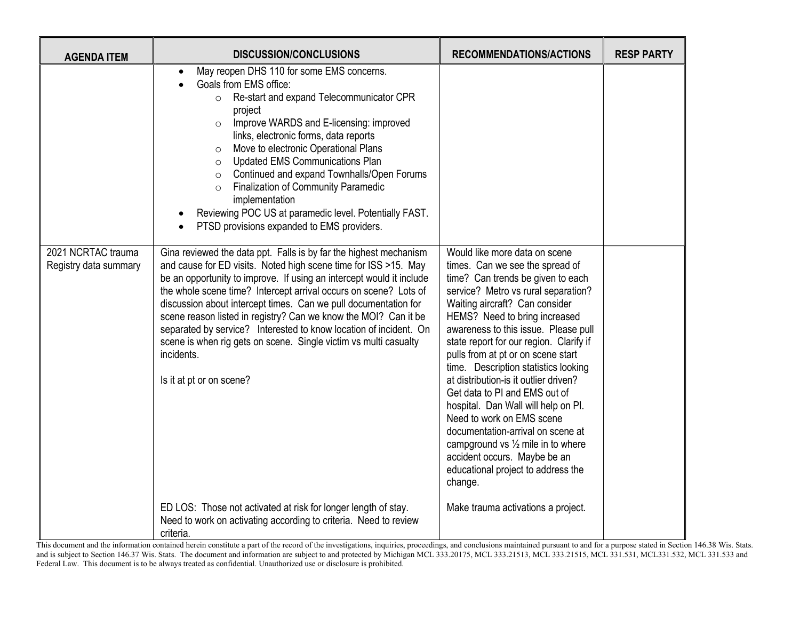| <b>AGENDA ITEM</b>                          | <b>DISCUSSION/CONCLUSIONS</b>                                                                                                                                                                                                                                                                                                                                                                                                                                                                                                                                                                             | <b>RECOMMENDATIONS/ACTIONS</b>                                                                                                                                                                                                                                                                                                                                                                                                                                                                                                                                                                                                                                                                       | <b>RESP PARTY</b> |
|---------------------------------------------|-----------------------------------------------------------------------------------------------------------------------------------------------------------------------------------------------------------------------------------------------------------------------------------------------------------------------------------------------------------------------------------------------------------------------------------------------------------------------------------------------------------------------------------------------------------------------------------------------------------|------------------------------------------------------------------------------------------------------------------------------------------------------------------------------------------------------------------------------------------------------------------------------------------------------------------------------------------------------------------------------------------------------------------------------------------------------------------------------------------------------------------------------------------------------------------------------------------------------------------------------------------------------------------------------------------------------|-------------------|
|                                             | May reopen DHS 110 for some EMS concerns.<br>$\bullet$<br>Goals from EMS office:<br>Re-start and expand Telecommunicator CPR<br>$\circ$<br>project<br>Improve WARDS and E-licensing: improved<br>$\circ$<br>links, electronic forms, data reports<br>Move to electronic Operational Plans<br>$\circ$<br><b>Updated EMS Communications Plan</b><br>$\circ$<br>Continued and expand Townhalls/Open Forums<br>$\circ$<br><b>Finalization of Community Paramedic</b><br>$\circ$<br>implementation<br>Reviewing POC US at paramedic level. Potentially FAST.<br>PTSD provisions expanded to EMS providers.     |                                                                                                                                                                                                                                                                                                                                                                                                                                                                                                                                                                                                                                                                                                      |                   |
| 2021 NCRTAC trauma<br>Registry data summary | Gina reviewed the data ppt. Falls is by far the highest mechanism<br>and cause for ED visits. Noted high scene time for ISS >15. May<br>be an opportunity to improve. If using an intercept would it include<br>the whole scene time? Intercept arrival occurs on scene? Lots of<br>discussion about intercept times. Can we pull documentation for<br>scene reason listed in registry? Can we know the MOI? Can it be<br>separated by service? Interested to know location of incident. On<br>scene is when rig gets on scene. Single victim vs multi casualty<br>incidents.<br>Is it at pt or on scene? | Would like more data on scene<br>times. Can we see the spread of<br>time? Can trends be given to each<br>service? Metro vs rural separation?<br>Waiting aircraft? Can consider<br>HEMS? Need to bring increased<br>awareness to this issue. Please pull<br>state report for our region. Clarify if<br>pulls from at pt or on scene start<br>time. Description statistics looking<br>at distribution-is it outlier driven?<br>Get data to PI and EMS out of<br>hospital. Dan Wall will help on PI.<br>Need to work on EMS scene<br>documentation-arrival on scene at<br>campground vs $\frac{1}{2}$ mile in to where<br>accident occurs. Maybe be an<br>educational project to address the<br>change. |                   |
|                                             | ED LOS: Those not activated at risk for longer length of stay.<br>Need to work on activating according to criteria. Need to review<br>criteria.                                                                                                                                                                                                                                                                                                                                                                                                                                                           | Make trauma activations a project.                                                                                                                                                                                                                                                                                                                                                                                                                                                                                                                                                                                                                                                                   |                   |

This document and the information contained herein constitute a part of the record of the investigations, inquiries, proceedings, and conclusions maintained pursuant to and for a purpose stated in Section 146.38 Wis. Stats and is subject to Section 146.37 Wis. Stats. The document and information are subject to and protected by Michigan MCL 333.20175, MCL 333.20175, MCL 333.21513, MCL 333.21515, MCL 331.531, MCL331.532, MCL 331.532, MCL 331.5 Federal Law. This document is to be always treated as confidential. Unauthorized use or disclosure is prohibited.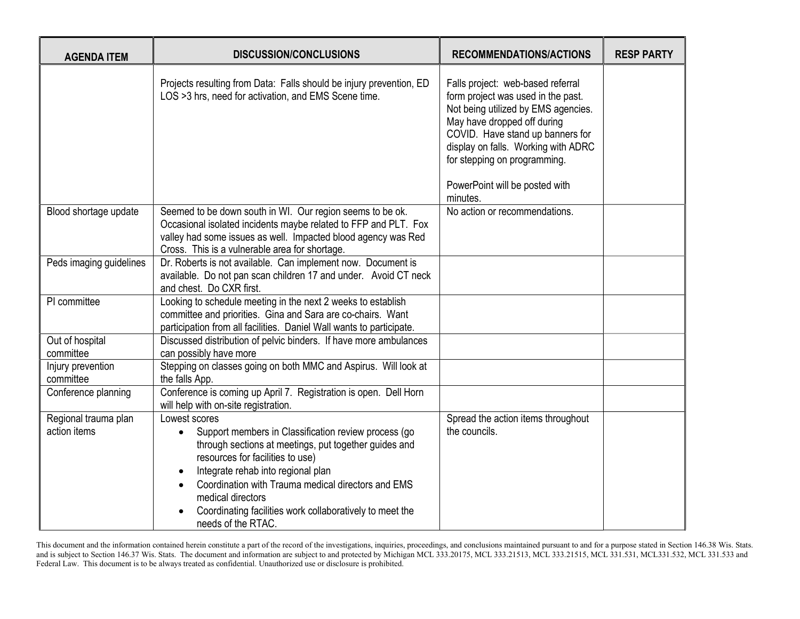| <b>AGENDA ITEM</b>                   | <b>DISCUSSION/CONCLUSIONS</b>                                                                                                                                                                                                                                                                                                                                                      | <b>RECOMMENDATIONS/ACTIONS</b>                                                                                                                                                                                                                                                                         | <b>RESP PARTY</b> |
|--------------------------------------|------------------------------------------------------------------------------------------------------------------------------------------------------------------------------------------------------------------------------------------------------------------------------------------------------------------------------------------------------------------------------------|--------------------------------------------------------------------------------------------------------------------------------------------------------------------------------------------------------------------------------------------------------------------------------------------------------|-------------------|
|                                      | Projects resulting from Data: Falls should be injury prevention, ED<br>LOS >3 hrs, need for activation, and EMS Scene time.                                                                                                                                                                                                                                                        | Falls project: web-based referral<br>form project was used in the past.<br>Not being utilized by EMS agencies.<br>May have dropped off during<br>COVID. Have stand up banners for<br>display on falls. Working with ADRC<br>for stepping on programming.<br>PowerPoint will be posted with<br>minutes. |                   |
| Blood shortage update                | Seemed to be down south in WI. Our region seems to be ok.<br>Occasional isolated incidents maybe related to FFP and PLT. Fox<br>valley had some issues as well. Impacted blood agency was Red<br>Cross. This is a vulnerable area for shortage.                                                                                                                                    | No action or recommendations.                                                                                                                                                                                                                                                                          |                   |
| Peds imaging guidelines              | Dr. Roberts is not available. Can implement now. Document is<br>available. Do not pan scan children 17 and under. Avoid CT neck<br>and chest. Do CXR first.                                                                                                                                                                                                                        |                                                                                                                                                                                                                                                                                                        |                   |
| PI committee                         | Looking to schedule meeting in the next 2 weeks to establish<br>committee and priorities. Gina and Sara are co-chairs. Want<br>participation from all facilities. Daniel Wall wants to participate.                                                                                                                                                                                |                                                                                                                                                                                                                                                                                                        |                   |
| Out of hospital<br>committee         | Discussed distribution of pelvic binders. If have more ambulances<br>can possibly have more                                                                                                                                                                                                                                                                                        |                                                                                                                                                                                                                                                                                                        |                   |
| Injury prevention<br>committee       | Stepping on classes going on both MMC and Aspirus. Will look at<br>the falls App.                                                                                                                                                                                                                                                                                                  |                                                                                                                                                                                                                                                                                                        |                   |
| Conference planning                  | Conference is coming up April 7. Registration is open. Dell Horn<br>will help with on-site registration.                                                                                                                                                                                                                                                                           |                                                                                                                                                                                                                                                                                                        |                   |
| Regional trauma plan<br>action items | Lowest scores<br>Support members in Classification review process (go<br>$\bullet$<br>through sections at meetings, put together guides and<br>resources for facilities to use)<br>Integrate rehab into regional plan<br>Coordination with Trauma medical directors and EMS<br>medical directors<br>Coordinating facilities work collaboratively to meet the<br>needs of the RTAC. | Spread the action items throughout<br>the councils.                                                                                                                                                                                                                                                    |                   |

This document and the information contained herein constitute a part of the record of the investigations, inquiries, proceedings, and conclusions maintained pursuant to and for a purpose stated in Section 146.38 Wis. Stats and is subject to Section 146.37 Wis. Stats. The document and information are subject to and protected by Michigan MCL 333.20175, MCL 333.20175, MCL 333.21513, MCL 333.21515, MCL 331.531, MCL331.532, MCL 331.532, MCL 331.5 Federal Law. This document is to be always treated as confidential. Unauthorized use or disclosure is prohibited.